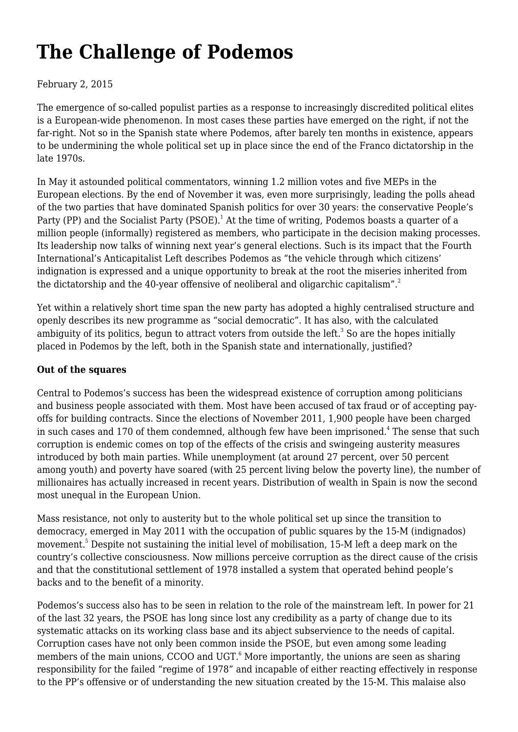# **[The Challenge of Podemos](https://newpol.org/challenge-podemos/)**

#### February 2, 2015

The emergence of so-called populist parties as a response to increasingly discredited political elites is a European-wide phenomenon. In most cases these parties have emerged on the right, if not the far-right. Not so in the Spanish state where Podemos, after barely ten months in existence, appears to be undermining the whole political set up in place since the end of the Franco dictatorship in the late 1970s.

In May it astounded political commentators, winning 1.2 million votes and five MEPs in the European elections. By the end of November it was, even more surprisingly, leading the polls ahead of the two parties that have dominated Spanish politics for over 30 years: the conservative People's Party (PP) and the Socialist Party (PSOE).<sup>1</sup> At the time of writing, Podemos boasts a quarter of a million people (informally) registered as members, who participate in the decision making processes. Its leadership now talks of winning next year's general elections. Such is its impact that the Fourth International's Anticapitalist Left describes Podemos as "the vehicle through which citizens' indignation is expressed and a unique opportunity to break at the root the miseries inherited from the dictatorship and the 40-year offensive of neoliberal and oligarchic capitalism".<sup>2</sup>

Yet within a relatively short time span the new party has adopted a highly centralised structure and openly describes its new programme as "social democratic". It has also, with the calculated ambiguity of its politics, begun to attract voters from outside the left. $^3$  So are the hopes initially placed in Podemos by the left, both in the Spanish state and internationally, justified?

#### **Out of the squares**

Central to Podemos's success has been the widespread existence of corruption among politicians and business people associated with them. Most have been accused of tax fraud or of accepting payoffs for building contracts. Since the elections of November 2011, 1,900 people have been charged in such cases and 170 of them condemned, although few have been imprisoned. $^{\rm 4}$  The sense that such corruption is endemic comes on top of the effects of the crisis and swingeing austerity measures introduced by both main parties. While unemployment (at around 27 percent, over 50 percent among youth) and poverty have soared (with 25 percent living below the poverty line), the number of millionaires has actually increased in recent years. Distribution of wealth in Spain is now the second most unequal in the European Union.

Mass resistance, not only to austerity but to the whole political set up since the transition to democracy, emerged in May 2011 with the occupation of public squares by the 15-M (indignados) movement.<sup>5</sup> Despite not sustaining the initial level of mobilisation, 15-M left a deep mark on the country's collective consciousness. Now millions perceive corruption as the direct cause of the crisis and that the constitutional settlement of 1978 installed a system that operated behind people's backs and to the benefit of a minority.

Podemos's success also has to be seen in relation to the role of the mainstream left. In power for 21 of the last 32 years, the PSOE has long since lost any credibility as a party of change due to its systematic attacks on its working class base and its abject subservience to the needs of capital. Corruption cases have not only been common inside the PSOE, but even among some leading members of the main unions, CCOO and UGT. $^6$  More importantly, the unions are seen as sharing responsibility for the failed "regime of 1978" and incapable of either reacting effectively in response to the PP's offensive or of understanding the new situation created by the 15-M. This malaise also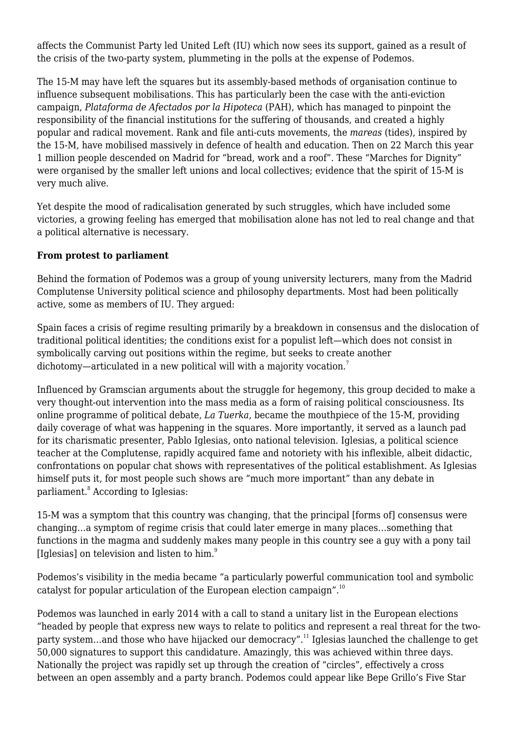affects the Communist Party led United Left (IU) which now sees its support, gained as a result of the crisis of the two-party system, plummeting in the polls at the expense of Podemos.

The 15-M may have left the squares but its assembly-based methods of organisation continue to influence subsequent mobilisations. This has particularly been the case with the anti-eviction campaign, *Plataforma de Afectados por la Hipoteca* (PAH), which has managed to pinpoint the responsibility of the financial institutions for the suffering of thousands, and created a highly popular and radical movement. Rank and file anti-cuts movements, the *mareas* (tides), inspired by the 15-M, have mobilised massively in defence of health and education. Then on 22 March this year 1 million people descended on Madrid for "bread, work and a roof". These "Marches for Dignity" were organised by the smaller left unions and local collectives; evidence that the spirit of 15-M is very much alive.

Yet despite the mood of radicalisation generated by such struggles, which have included some victories, a growing feeling has emerged that mobilisation alone has not led to real change and that a political alternative is necessary.

#### **From protest to parliament**

Behind the formation of Podemos was a group of young university lecturers, many from the Madrid Complutense University political science and philosophy departments. Most had been politically active, some as members of IU. They argued:

Spain faces a crisis of regime resulting primarily by a breakdown in consensus and the dislocation of traditional political identities; the conditions exist for a populist left—which does not consist in symbolically carving out positions within the regime, but seeks to create another dichotomy—articulated in a new political will with a majority vocation.<sup>7</sup>

Influenced by Gramscian arguments about the struggle for hegemony, this group decided to make a very thought-out intervention into the mass media as a form of raising political consciousness. Its online programme of political debate, *La Tuerka*, became the mouthpiece of the 15-M, providing daily coverage of what was happening in the squares. More importantly, it served as a launch pad for its charismatic presenter, Pablo Iglesias, onto national television. Iglesias, a political science teacher at the Complutense, rapidly acquired fame and notoriety with his inflexible, albeit didactic, confrontations on popular chat shows with representatives of the political establishment. As Iglesias himself puts it, for most people such shows are "much more important" than any debate in parliament.<sup>8</sup> According to Iglesias:

15-M was a symptom that this country was changing, that the principal [forms of] consensus were changing…a symptom of regime crisis that could later emerge in many places…something that functions in the magma and suddenly makes many people in this country see a guy with a pony tail [Iglesias] on television and listen to him.<sup>9</sup>

Podemos's visibility in the media became "a particularly powerful communication tool and symbolic catalyst for popular articulation of the European election campaign".<sup>10</sup>

Podemos was launched in early 2014 with a call to stand a unitary list in the European elections "headed by people that express new ways to relate to politics and represent a real threat for the twoparty system…and those who have hijacked our democracy".<sup>11</sup> Iglesias launched the challenge to get 50,000 signatures to support this candidature. Amazingly, this was achieved within three days. Nationally the project was rapidly set up through the creation of "circles", effectively a cross between an open assembly and a party branch. Podemos could appear like Bepe Grillo's Five Star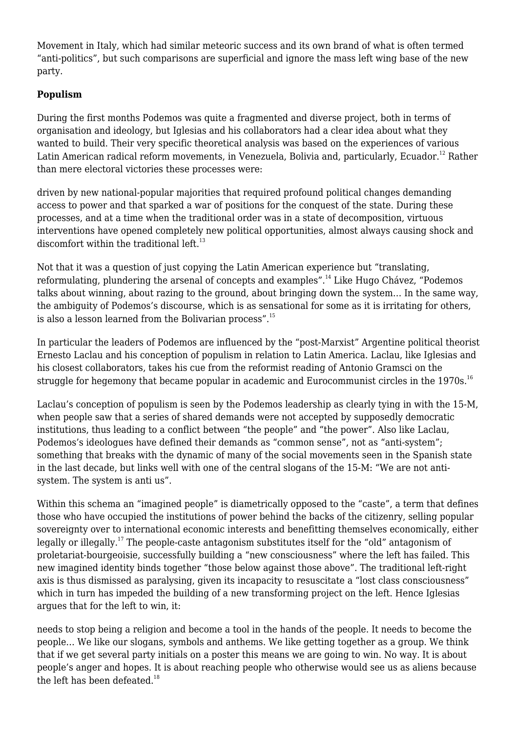Movement in Italy, which had similar meteoric success and its own brand of what is often termed "anti-politics", but such comparisons are superficial and ignore the mass left wing base of the new party.

# **Populism**

During the first months Podemos was quite a fragmented and diverse project, both in terms of organisation and ideology, but Iglesias and his collaborators had a clear idea about what they wanted to build. Their very specific theoretical analysis was based on the experiences of various Latin American radical reform movements, in Venezuela, Bolivia and, particularly. Ecuador.<sup>12</sup> Rather than mere electoral victories these processes were:

driven by new national-popular majorities that required profound political changes demanding access to power and that sparked a war of positions for the conquest of the state. During these processes, and at a time when the traditional order was in a state of decomposition, virtuous interventions have opened completely new political opportunities, almost always causing shock and discomfort within the traditional  $left.^{13}$ 

Not that it was a question of just copying the Latin American experience but "translating, reformulating, plundering the arsenal of concepts and examples".<sup>14</sup> Like Hugo Chávez, "Podemos talks about winning, about razing to the ground, about bringing down the system… In the same way, the ambiguity of Podemos's discourse, which is as sensational for some as it is irritating for others, is also a lesson learned from the Bolivarian process".<sup>15</sup>

In particular the leaders of Podemos are influenced by the "post-Marxist" Argentine political theorist Ernesto Laclau and his conception of populism in relation to Latin America. Laclau, like Iglesias and his closest collaborators, takes his cue from the reformist reading of Antonio Gramsci on the struggle for hegemony that became popular in academic and Eurocommunist circles in the 1970s.<sup>16</sup>

Laclau's conception of populism is seen by the Podemos leadership as clearly tying in with the 15-M, when people saw that a series of shared demands were not accepted by supposedly democratic institutions, thus leading to a conflict between "the people" and "the power". Also like Laclau, Podemos's ideologues have defined their demands as "common sense", not as "anti-system"; something that breaks with the dynamic of many of the social movements seen in the Spanish state in the last decade, but links well with one of the central slogans of the 15-M: "We are not antisystem. The system is anti us".

Within this schema an "imagined people" is diametrically opposed to the "caste", a term that defines those who have occupied the institutions of power behind the backs of the citizenry, selling popular sovereignty over to international economic interests and benefitting themselves economically, either legally or illegally.<sup>17</sup> The people-caste antagonism substitutes itself for the "old" antagonism of proletariat-bourgeoisie, successfully building a "new consciousness" where the left has failed. This new imagined identity binds together "those below against those above". The traditional left-right axis is thus dismissed as paralysing, given its incapacity to resuscitate a "lost class consciousness" which in turn has impeded the building of a new transforming project on the left. Hence Iglesias argues that for the left to win, it:

needs to stop being a religion and become a tool in the hands of the people. It needs to become the people… We like our slogans, symbols and anthems. We like getting together as a group. We think that if we get several party initials on a poster this means we are going to win. No way. It is about people's anger and hopes. It is about reaching people who otherwise would see us as aliens because the left has been defeated.<sup>18</sup>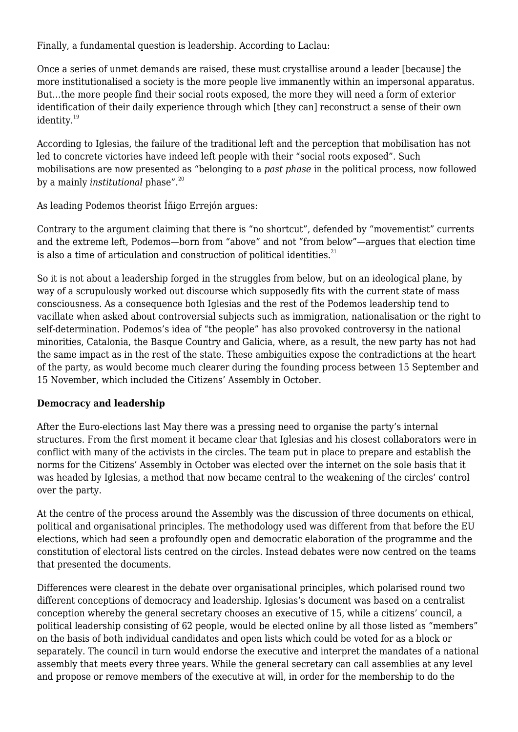Finally, a fundamental question is leadership. According to Laclau:

Once a series of unmet demands are raised, these must crystallise around a leader [because] the more institutionalised a society is the more people live immanently within an impersonal apparatus. But…the more people find their social roots exposed, the more they will need a form of exterior identification of their daily experience through which [they can] reconstruct a sense of their own identity.<sup>19</sup>

According to Iglesias, the failure of the traditional left and the perception that mobilisation has not led to concrete victories have indeed left people with their "social roots exposed". Such mobilisations are now presented as "belonging to a *past phase* in the political process, now followed by a mainly *institutional* phase".<sup>20</sup>

As leading Podemos theorist Íñigo Errejón argues:

Contrary to the argument claiming that there is "no shortcut", defended by "movementist" currents and the extreme left, Podemos—born from "above" and not "from below"—argues that election time is also a time of articulation and construction of political identities. $21$ 

So it is not about a leadership forged in the struggles from below, but on an ideological plane, by way of a scrupulously worked out discourse which supposedly fits with the current state of mass consciousness. As a consequence both Iglesias and the rest of the Podemos leadership tend to vacillate when asked about controversial subjects such as immigration, nationalisation or the right to self-determination. Podemos's idea of "the people" has also provoked controversy in the national minorities, Catalonia, the Basque Country and Galicia, where, as a result, the new party has not had the same impact as in the rest of the state. These ambiguities expose the contradictions at the heart of the party, as would become much clearer during the founding process between 15 September and 15 November, which included the Citizens' Assembly in October.

#### **Democracy and leadership**

After the Euro-elections last May there was a pressing need to organise the party's internal structures. From the first moment it became clear that Iglesias and his closest collaborators were in conflict with many of the activists in the circles. The team put in place to prepare and establish the norms for the Citizens' Assembly in October was elected over the internet on the sole basis that it was headed by Iglesias, a method that now became central to the weakening of the circles' control over the party.

At the centre of the process around the Assembly was the discussion of three documents on ethical, political and organisational principles. The methodology used was different from that before the EU elections, which had seen a profoundly open and democratic elaboration of the programme and the constitution of electoral lists centred on the circles. Instead debates were now centred on the teams that presented the documents.

Differences were clearest in the debate over organisational principles, which polarised round two different conceptions of democracy and leadership. Iglesias's document was based on a centralist conception whereby the general secretary chooses an executive of 15, while a citizens' council, a political leadership consisting of 62 people, would be elected online by all those listed as "members" on the basis of both individual candidates and open lists which could be voted for as a block or separately. The council in turn would endorse the executive and interpret the mandates of a national assembly that meets every three years. While the general secretary can call assemblies at any level and propose or remove members of the executive at will, in order for the membership to do the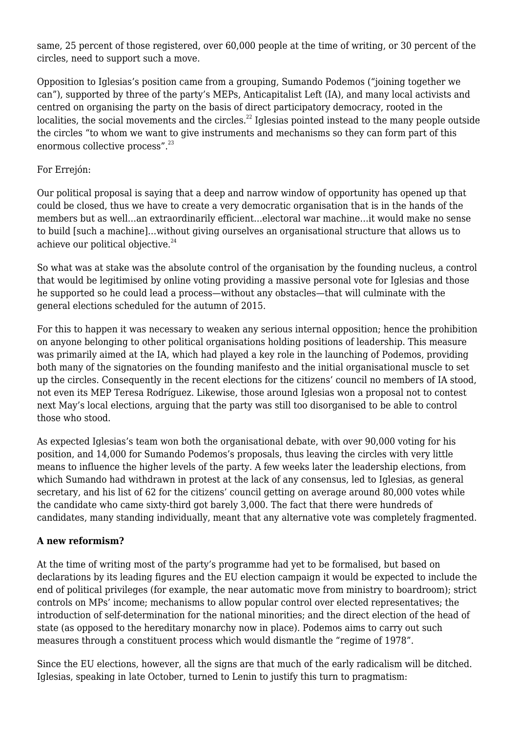same, 25 percent of those registered, over 60,000 people at the time of writing, or 30 percent of the circles, need to support such a move.

Opposition to Iglesias's position came from a grouping, Sumando Podemos ("joining together we can"), supported by three of the party's MEPs, Anticapitalist Left (IA), and many local activists and centred on organising the party on the basis of direct participatory democracy, rooted in the localities, the social movements and the circles.<sup>22</sup> Iglesias pointed instead to the many people outside the circles "to whom we want to give instruments and mechanisms so they can form part of this enormous collective process".<sup>23</sup>

#### For Errejón:

Our political proposal is saying that a deep and narrow window of opportunity has opened up that could be closed, thus we have to create a very democratic organisation that is in the hands of the members but as well…an extraordinarily efficient…electoral war machine…it would make no sense to build [such a machine]…without giving ourselves an organisational structure that allows us to achieve our political objective.<sup>24</sup>

So what was at stake was the absolute control of the organisation by the founding nucleus, a control that would be legitimised by online voting providing a massive personal vote for Iglesias and those he supported so he could lead a process—without any obstacles—that will culminate with the general elections scheduled for the autumn of 2015.

For this to happen it was necessary to weaken any serious internal opposition; hence the prohibition on anyone belonging to other political organisations holding positions of leadership. This measure was primarily aimed at the IA, which had played a key role in the launching of Podemos, providing both many of the signatories on the founding manifesto and the initial organisational muscle to set up the circles. Consequently in the recent elections for the citizens' council no members of IA stood, not even its MEP Teresa Rodríguez. Likewise, those around Iglesias won a proposal not to contest next May's local elections, arguing that the party was still too disorganised to be able to control those who stood.

As expected Iglesias's team won both the organisational debate, with over 90,000 voting for his position, and 14,000 for Sumando Podemos's proposals, thus leaving the circles with very little means to influence the higher levels of the party. A few weeks later the leadership elections, from which Sumando had withdrawn in protest at the lack of any consensus, led to Iglesias, as general secretary, and his list of 62 for the citizens' council getting on average around 80,000 votes while the candidate who came sixty-third got barely 3,000. The fact that there were hundreds of candidates, many standing individually, meant that any alternative vote was completely fragmented.

#### **A new reformism?**

At the time of writing most of the party's programme had yet to be formalised, but based on declarations by its leading figures and the EU election campaign it would be expected to include the end of political privileges (for example, the near automatic move from ministry to boardroom); strict controls on MPs' income; mechanisms to allow popular control over elected representatives; the introduction of self-determination for the national minorities; and the direct election of the head of state (as opposed to the hereditary monarchy now in place). Podemos aims to carry out such measures through a constituent process which would dismantle the "regime of 1978".

Since the EU elections, however, all the signs are that much of the early radicalism will be ditched. Iglesias, speaking in late October, turned to Lenin to justify this turn to pragmatism: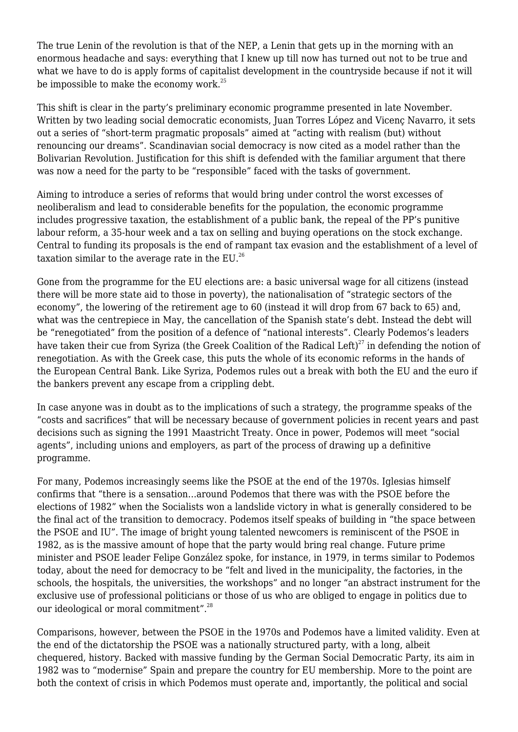The true Lenin of the revolution is that of the NEP, a Lenin that gets up in the morning with an enormous headache and says: everything that I knew up till now has turned out not to be true and what we have to do is apply forms of capitalist development in the countryside because if not it will be impossible to make the economy work. $^{25}$ 

This shift is clear in the party's preliminary economic programme presented in late November. Written by two leading social democratic economists, Juan Torres López and Vicenç Navarro, it sets out a series of "short-term pragmatic proposals" aimed at "acting with realism (but) without renouncing our dreams". Scandinavian social democracy is now cited as a model rather than the Bolivarian Revolution. Justification for this shift is defended with the familiar argument that there was now a need for the party to be "responsible" faced with the tasks of government.

Aiming to introduce a series of reforms that would bring under control the worst excesses of neoliberalism and lead to considerable benefits for the population, the economic programme includes progressive taxation, the establishment of a public bank, the repeal of the PP's punitive labour reform, a 35-hour week and a tax on selling and buying operations on the stock exchange. Central to funding its proposals is the end of rampant tax evasion and the establishment of a level of taxation similar to the average rate in the  $EU^{26}$ 

Gone from the programme for the EU elections are: a basic universal wage for all citizens (instead there will be more state aid to those in poverty), the nationalisation of "strategic sectors of the economy", the lowering of the retirement age to 60 (instead it will drop from 67 back to 65) and, what was the centrepiece in May, the cancellation of the Spanish state's debt. Instead the debt will be "renegotiated" from the position of a defence of "national interests". Clearly Podemos's leaders have taken their cue from Syriza (the Greek Coalition of the Radical Left)<sup>27</sup> in defending the notion of renegotiation. As with the Greek case, this puts the whole of its economic reforms in the hands of the European Central Bank. Like Syriza, Podemos rules out a break with both the EU and the euro if the bankers prevent any escape from a crippling debt.

In case anyone was in doubt as to the implications of such a strategy, the programme speaks of the "costs and sacrifices" that will be necessary because of government policies in recent years and past decisions such as signing the 1991 Maastricht Treaty. Once in power, Podemos will meet "social agents", including unions and employers, as part of the process of drawing up a definitive programme.

For many, Podemos increasingly seems like the PSOE at the end of the 1970s. Iglesias himself confirms that "there is a sensation…around Podemos that there was with the PSOE before the elections of 1982" when the Socialists won a landslide victory in what is generally considered to be the final act of the transition to democracy. Podemos itself speaks of building in "the space between the PSOE and IU". The image of bright young talented newcomers is reminiscent of the PSOE in 1982, as is the massive amount of hope that the party would bring real change. Future prime minister and PSOE leader Felipe González spoke, for instance, in 1979, in terms similar to Podemos today, about the need for democracy to be "felt and lived in the municipality, the factories, in the schools, the hospitals, the universities, the workshops" and no longer "an abstract instrument for the exclusive use of professional politicians or those of us who are obliged to engage in politics due to our ideological or moral commitment".<sup>28</sup>

Comparisons, however, between the PSOE in the 1970s and Podemos have a limited validity. Even at the end of the dictatorship the PSOE was a nationally structured party, with a long, albeit chequered, history. Backed with massive funding by the German Social Democratic Party, its aim in 1982 was to "modernise" Spain and prepare the country for EU membership. More to the point are both the context of crisis in which Podemos must operate and, importantly, the political and social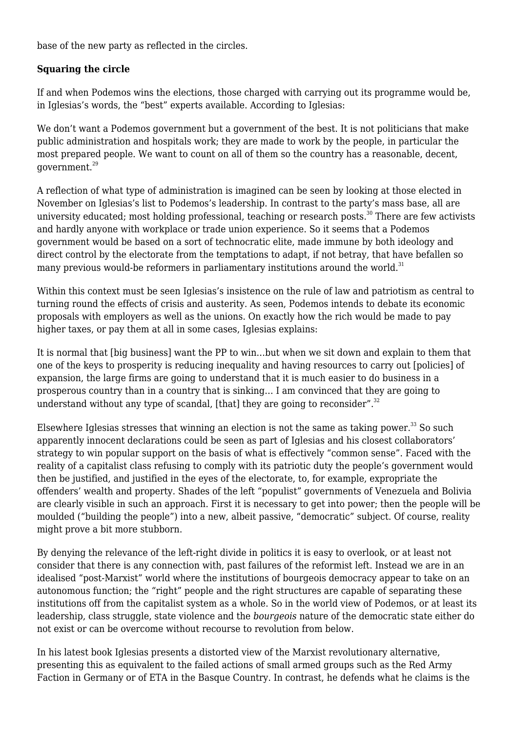base of the new party as reflected in the circles.

### **Squaring the circle**

If and when Podemos wins the elections, those charged with carrying out its programme would be, in Iglesias's words, the "best" experts available. According to Iglesias:

We don't want a Podemos government but a government of the best. It is not politicians that make public administration and hospitals work; they are made to work by the people, in particular the most prepared people. We want to count on all of them so the country has a reasonable, decent, government.<sup>29</sup>

A reflection of what type of administration is imagined can be seen by looking at those elected in November on Iglesias's list to Podemos's leadership. In contrast to the party's mass base, all are university educated; most holding professional, teaching or research posts.<sup>30</sup> There are few activists and hardly anyone with workplace or trade union experience. So it seems that a Podemos government would be based on a sort of technocratic elite, made immune by both ideology and direct control by the electorate from the temptations to adapt, if not betray, that have befallen so many previous would-be reformers in parliamentary institutions around the world.<sup>31</sup>

Within this context must be seen Iglesias's insistence on the rule of law and patriotism as central to turning round the effects of crisis and austerity. As seen, Podemos intends to debate its economic proposals with employers as well as the unions. On exactly how the rich would be made to pay higher taxes, or pay them at all in some cases, Iglesias explains:

It is normal that [big business] want the PP to win…but when we sit down and explain to them that one of the keys to prosperity is reducing inequality and having resources to carry out [policies] of expansion, the large firms are going to understand that it is much easier to do business in a prosperous country than in a country that is sinking… I am convinced that they are going to understand without any type of scandal, [that] they are going to reconsider". $32$ 

Elsewhere Iglesias stresses that winning an election is not the same as taking power.<sup>33</sup> So such apparently innocent declarations could be seen as part of Iglesias and his closest collaborators' strategy to win popular support on the basis of what is effectively "common sense". Faced with the reality of a capitalist class refusing to comply with its patriotic duty the people's government would then be justified, and justified in the eyes of the electorate, to, for example, expropriate the offenders' wealth and property. Shades of the left "populist" governments of Venezuela and Bolivia are clearly visible in such an approach. First it is necessary to get into power; then the people will be moulded ("building the people") into a new, albeit passive, "democratic" subject. Of course, reality might prove a bit more stubborn.

By denying the relevance of the left-right divide in politics it is easy to overlook, or at least not consider that there is any connection with, past failures of the reformist left. Instead we are in an idealised "post-Marxist" world where the institutions of bourgeois democracy appear to take on an autonomous function; the "right" people and the right structures are capable of separating these institutions off from the capitalist system as a whole. So in the world view of Podemos, or at least its leadership, class struggle, state violence and the *bourgeois* nature of the democratic state either do not exist or can be overcome without recourse to revolution from below.

In his latest book Iglesias presents a distorted view of the Marxist revolutionary alternative, presenting this as equivalent to the failed actions of small armed groups such as the Red Army Faction in Germany or of ETA in the Basque Country. In contrast, he defends what he claims is the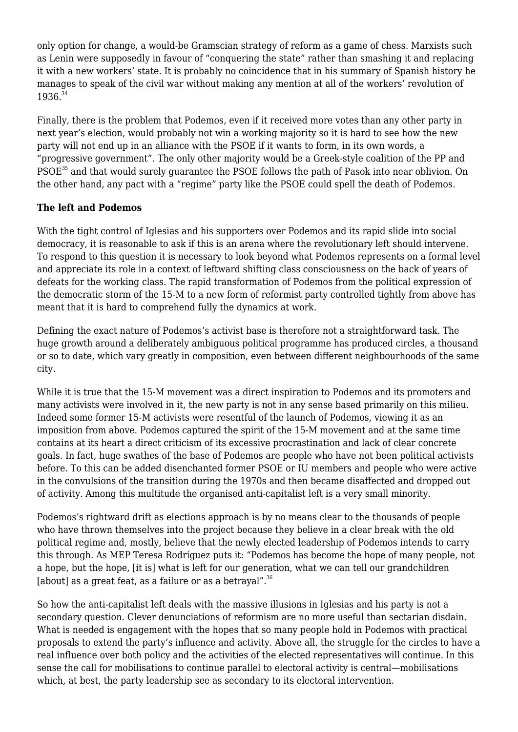only option for change, a would-be Gramscian strategy of reform as a game of chess. Marxists such as Lenin were supposedly in favour of "conquering the state" rather than smashing it and replacing it with a new workers' state. It is probably no coincidence that in his summary of Spanish history he manages to speak of the civil war without making any mention at all of the workers' revolution of 1936. 34

Finally, there is the problem that Podemos, even if it received more votes than any other party in next year's election, would probably not win a working majority so it is hard to see how the new party will not end up in an alliance with the PSOE if it wants to form, in its own words, a "progressive government". The only other majority would be a Greek-style coalition of the PP and PSOE<sup>35</sup> and that would surely guarantee the PSOE follows the path of Pasok into near oblivion. On the other hand, any pact with a "regime" party like the PSOE could spell the death of Podemos.

# **The left and Podemos**

With the tight control of Iglesias and his supporters over Podemos and its rapid slide into social democracy, it is reasonable to ask if this is an arena where the revolutionary left should intervene. To respond to this question it is necessary to look beyond what Podemos represents on a formal level and appreciate its role in a context of leftward shifting class consciousness on the back of years of defeats for the working class. The rapid transformation of Podemos from the political expression of the democratic storm of the 15-M to a new form of reformist party controlled tightly from above has meant that it is hard to comprehend fully the dynamics at work.

Defining the exact nature of Podemos's activist base is therefore not a straightforward task. The huge growth around a deliberately ambiguous political programme has produced circles, a thousand or so to date, which vary greatly in composition, even between different neighbourhoods of the same city.

While it is true that the 15-M movement was a direct inspiration to Podemos and its promoters and many activists were involved in it, the new party is not in any sense based primarily on this milieu. Indeed some former 15-M activists were resentful of the launch of Podemos, viewing it as an imposition from above. Podemos captured the spirit of the 15-M movement and at the same time contains at its heart a direct criticism of its excessive procrastination and lack of clear concrete goals. In fact, huge swathes of the base of Podemos are people who have not been political activists before. To this can be added disenchanted former PSOE or IU members and people who were active in the convulsions of the transition during the 1970s and then became disaffected and dropped out of activity. Among this multitude the organised anti-capitalist left is a very small minority.

Podemos's rightward drift as elections approach is by no means clear to the thousands of people who have thrown themselves into the project because they believe in a clear break with the old political regime and, mostly, believe that the newly elected leadership of Podemos intends to carry this through. As MEP Teresa Rodríguez puts it: "Podemos has become the hope of many people, not a hope, but the hope, [it is] what is left for our generation, what we can tell our grandchildren [about] as a great feat, as a failure or as a betrayal". $36$ 

So how the anti-capitalist left deals with the massive illusions in Iglesias and his party is not a secondary question. Clever denunciations of reformism are no more useful than sectarian disdain. What is needed is engagement with the hopes that so many people hold in Podemos with practical proposals to extend the party's influence and activity. Above all, the struggle for the circles to have a real influence over both policy and the activities of the elected representatives will continue. In this sense the call for mobilisations to continue parallel to electoral activity is central—mobilisations which, at best, the party leadership see as secondary to its electoral intervention.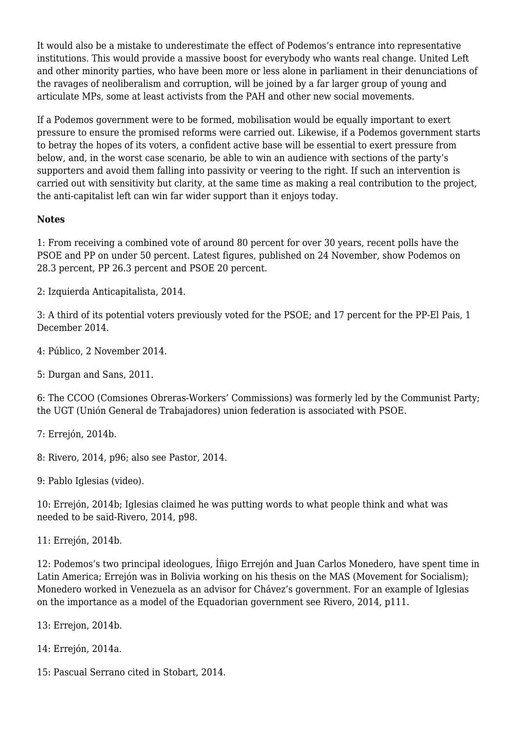It would also be a mistake to underestimate the effect of Podemos's entrance into representative institutions. This would provide a massive boost for everybody who wants real change. United Left and other minority parties, who have been more or less alone in parliament in their denunciations of the ravages of neoliberalism and corruption, will be joined by a far larger group of young and articulate MPs, some at least activists from the PAH and other new social movements.

If a Podemos government were to be formed, mobilisation would be equally important to exert pressure to ensure the promised reforms were carried out. Likewise, if a Podemos government starts to betray the hopes of its voters, a confident active base will be essential to exert pressure from below, and, in the worst case scenario, be able to win an audience with sections of the party's supporters and avoid them falling into passivity or veering to the right. If such an intervention is carried out with sensitivity but clarity, at the same time as making a real contribution to the project, the anti-capitalist left can win far wider support than it enjoys today.

#### **Notes**

1: From receiving a combined vote of around 80 percent for over 30 years, recent polls have the PSOE and PP on under 50 percent. [Latest figures](http://www.elmundo.es/espana/2014/11/24/5472339c268e3ee96d8b4593.html), published on 24 November, show Podemos on 28.3 percent, PP 26.3 percent and PSOE 20 percent.

2: Izquierda Anticapitalista, 2014.

3: A third of its potential voters previously voted for the PSOE; and 17 percent for the PP-El Pais, 1 December 2014.

4: [Público,](http://tinyurl.com/ojan2by) 2 November 2014.

5: Durgan and Sans, 2011.

6: The CCOO (Comsiones Obreras-Workers' Commissions) was formerly led by the Communist Party; the UGT (Unión General de Trabajadores) union federation is associated with PSOE.

7: Errejón, 2014b.

8: Rivero, 2014, p96; also see Pastor, 2014.

9: Pablo Iglesias ([video\)](http://www.youtube.com/watch?v=JyF92rFFtgY).

10: Errejón, 2014b; Iglesias claimed he was putting words to what people think and what was needed to be said-Rivero, 2014, p98.

11: Errejón, 2014b.

12: Podemos's two principal ideologues, Íñigo Errejón and Juan Carlos Monedero, have spent time in Latin America; Errejón was in Bolivia working on his thesis on the MAS (Movement for Socialism); Monedero worked in Venezuela as an advisor for Chávez's government. For an example of Iglesias on the importance as a model of the Equadorian government see Rivero, 2014, p111.

13: Errejon, 2014b.

14: Errejón, 2014a.

15: Pascual Serrano cited in Stobart, 2014.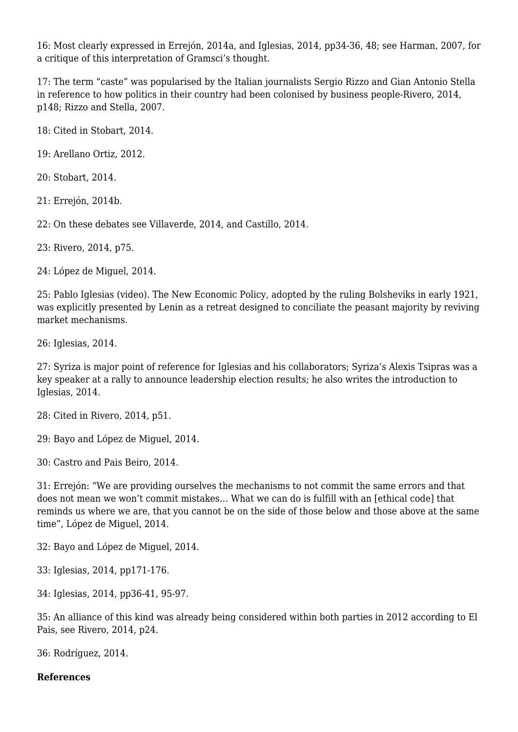16: Most clearly expressed in Errejón, 2014a, and Iglesias, 2014, pp34-36, 48; see Harman, 2007, for a critique of this interpretation of Gramsci's thought.

17: The term "caste" was popularised by the Italian journalists Sergio Rizzo and Gian Antonio Stella in reference to how politics in their country had been colonised by business people-Rivero, 2014, p148; Rizzo and Stella, 2007.

18: Cited in Stobart, 2014.

19: Arellano Ortiz, 2012.

20: Stobart, 2014.

21: Errejón, 2014b.

22: On these debates see Villaverde, 2014, and Castillo, 2014.

23: Rivero, 2014, p75.

24: López de Miguel, 2014.

25: Pablo Iglesias [\(video](http://www.youtube.com/watch?v=JyF92rFFtgY)). The New Economic Policy, adopted by the ruling Bolsheviks in early 1921, was explicitly presented by Lenin as a retreat designed to conciliate the peasant majority by reviving market mechanisms.

26: Iglesias, 2014.

27: Syriza is major point of reference for Iglesias and his collaborators; Syriza's Alexis Tsipras was a key speaker at a rally to announce leadership election results; he also writes the introduction to Iglesias, 2014.

28: Cited in Rivero, 2014, p51.

29: Bayo and López de Miguel, 2014.

30: Castro and Pais Beiro, 2014.

31: Errejón: "We are providing ourselves the mechanisms to not commit the same errors and that does not mean we won't commit mistakes… What we can do is fulfill with an [ethical code] that reminds us where we are, that you cannot be on the side of those below and those above at the same time", López de Miguel, 2014.

32: Bayo and López de Miguel, 2014.

33: Iglesias, 2014, pp171-176.

34: Iglesias, 2014, pp36-41, 95-97.

35: An alliance of this kind was already being considered within both parties in 2012 according to El Pais, see Rivero, 2014, p24.

36: Rodríguez, 2014.

#### **References**